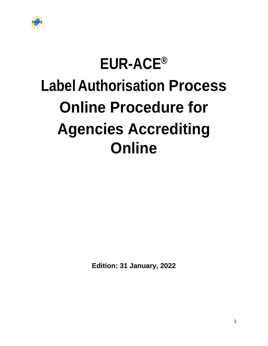

## **EUR-ACE®**

# **Label Authorisation Process Online Procedure for Agencies Accrediting Online**

**Edition: 31 January, 2022**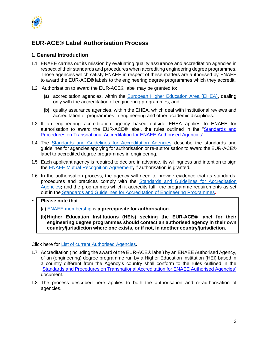

## **EUR-ACE® Label Authorisation Process**

## **1. General Introduction**

- 1.1 ENAEE carries out its mission by evaluating quality assurance and accreditation agencies in respect of their standards and procedures when accrediting engineering degree programmes. Those agencies which satisfy ENAEE in respect of these matters are authorised by ENAEE to award the EUR-ACE® labels to the engineering degree programmes which they accredit.
- 1.2 Authorisation to award the EUR-ACE® label may be granted to:
	- **(a)** accreditation agencies, within the [European Higher Education](http://www.ehea.info/) Area (EHEA)**,** dealing only with the accreditation of engineering programmes, and
	- **(b)** quality assurance agencies, within the EHEA, which deal with institutional reviews and accreditation of programmes in engineering and other academic disciplines.
- 1.3 If an engineering accreditation agency based outside EHEA applies to ENAEE for authorisation to award the EUR-ACE® label, the rules outlined in the "Standards and [Procedures on Transnational Accreditation for](https://www.enaee.eu/wp-content/uploads/2022/01/GA-4-Nov-2021-Transnational-Accreditation-Procedure-Update.pdf) ENAEE Authorised Agencies".
- 1.4 The [Standards and Guidelines for Accreditation Agencies](https://www.enaee.eu/eur-ace-system/standards-and-guidelines/#standards-and-guidelines-for-accreditation-agencies) describe the standards and guidelines for agencies applying for authorisation or re-authorisation to award the EUR-ACE® label to accredited degree programmes in engineering.
- 1.5 Each applicant agency is required to declare in advance, its willingness and intention to sign the [ENAEE Mutual Recognition Agreement](https://www.enaee.eu/wp-content/uploads/2018/11/MRA-agreement-A3-signed.pdf)**,** if authorisation is granted.
- 1.6 In the authorisation process, the agency will need to provide evidence that its standards, procedures and practices comply with the [Standards and Guidelines for Accreditation](https://www.enaee.eu/eur-ace-system/standards-and-guidelines/#standards-and-guidelines-for-accreditation-agencies)  [Agencies](https://www.enaee.eu/eur-ace-system/standards-and-guidelines/#standards-and-guidelines-for-accreditation-agencies)**;** and the programmes which it accredits fulfil the programme requirements as set out in the [Standards and Guidelines for Accreditation of Engineering Programmes](https://www.enaee.eu/eur-ace-system/standards-and-guidelines/#standards-and-guidelines-for-accreditation-agencies)**.**

#### • **Please note that**

- **(a)** [ENAEE membership](https://www.enaee.eu/members) is **a prerequisite for authorisation.**
- **(b) Higher Education Institutions (HEIs) seeking the EUR-ACE® label for their engineering degree programmes should contact an authorised agency in their own country/jurisdiction where one exists, or if not, in another country/jurisdiction.**

Click here for [List of current Authorised Agencies](https://www.enaee.eu/eur-ace-system/awarding-eur-ace-label/#authorised-agencies)**.**

- 1.7 Accreditation (including the award of the EUR-ACE® label) by an ENAEE Authorised Agency, of an (engineering) degree programme run by a Higher Education Institution (HEI) based in a country different from the Agency's country shall conform to the rules outlined in the ["Standards and Procedures on Transnational Accreditation for](https://www.enaee.eu/wp-content/uploads/2022/01/GA-4-Nov-2021-Transnational-Accreditation-Procedure-Update.pdf) ENAEE Authorised Agencies" document.
- 1.8 The process described here applies to both the authorisation and re-authorisation of agencies.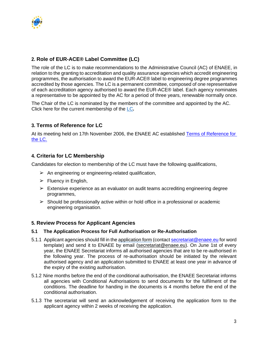

## **2. Role of EUR-ACE® Label Committee (LC)**

The role of the LC is to make recommendations to the [Administrative Council \(AC\) o](https://www.enaee.eu/about-enaee/structure-of-enaee/#administrative-council)f ENAEE, in relation to the granting to accreditation and quality assurance agencies which accredit engineering programmes, the authorisation to award the EUR-ACE® label to engineering degree programmes accredited by those agencies. The LC is a permanent committee, composed of one representative of each accreditation agency authorised to award the EUR-ACE® label. Each agency nominates a representative to be appointed by the AC for a period of three years, renewable normally once.

The Chair of the LC is nominated by the members of the committee and appointed by the AC. Click here for the current membership of the [LC](https://www.enaee.eu/about-enaee/structure-of-enaee/#EUR-ACE-label-committee)*.*

## **3. Terms of Reference for LC**

At its meeting held on 17th November 2006, the ENAEE AC established Terms of Reference for [the LC.](https://www.enaee.eu/wp-content/uploads/2022/01/Terms-of-Reference_-LC_final_2006-11-17.pdf)

## **4. Criteria for LC Membership**

Candidates for election to membership of the LC must have the following qualifications,

- $\triangleright$  An engineering or engineering-related qualification,
- $\triangleright$  Fluency in English,
- $\triangleright$  Extensive experience as an evaluator on audit teams accrediting engineering degree programmes,
- $\triangleright$  Should be professionally active within or hold office in a professional or academic engineering organisation.

## **5. Review Process for Applicant Agencies**

#### **5.1 The Application Process for Full Authorisation or Re-Authorisation**

- 5.1.1 Applicant agencies should fill in the [application form](http://www.enaee.eu/wp-assets-enaee/uploads/2012/02/Authorization_EUR-ACE_Application-approved-AC-March-2017.pdf) (contac[t secretariat@enaee.eu](mailto:secretariat@enaee.eu) for word template) and send it to ENAEE by email (secretariat@enaee.eu). On June 1st of every year, the ENAEE Secretariat informs all authorised agencies that are to be re-authorised in the following year. The process of re-authorisation should be initiated by the relevant authorised agency and an application submitted to ENAEE at least one year in advance of the expiry of the existing authorisation.
- 5.1.2 Nine months before the end of the conditional authorisation, the ENAEE Secretariat informs all agencies with Conditional Authorisations to send documents for the fulfilment of the conditions. The deadline for handing in the documents is 4 months before the end of the conditional authorisation.
- 5.1.3 The secretariat will send an acknowledgement of receiving the application form to the applicant agency within 2 weeks of receiving the application.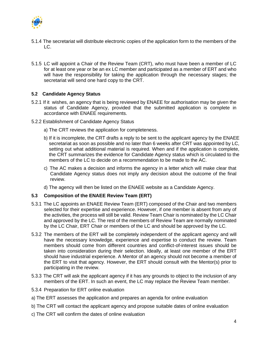

- 5.1.4 The secretariat will distribute electronic copies of the application form to the members of the LC.
- 5.1.5 LC will appoint a Chair of the Review Team (CRT), who must have been a member of LC for at least one year or be an ex LC member and participated as a member of ERT and who will have the responsibility for taking the application through the necessary stages; the secretariat will send one hard copy to the CRT.

#### **5.2 Candidate Agency Status**

- 5.2.1 If it wishes, an agency that is being reviewed by ENAEE for authorisation may be given the status of Candidate Agency, provided that the submitted application is complete in accordance with ENAEE requirements.
- 5.2.2 Establishment of Candidate Agency Status
	- a) The CRT reviews the application for completeness.
	- b) If it is incomplete, the CRT drafts a reply to be sent to the applicant agency by the ENAEE secretariat as soon as possible and no later than 6 weeks after CRT was appointed by LC, setting out what additional material is required. When and if the application is complete, the CRT summarizes the evidence for Candidate Agency status which is circulated to the members of the LC to decide on a recommendation to be made to the AC.
	- c) The AC makes a decision and informs the agency in a letter which will make clear that Candidate Agency status does not imply any decision about the outcome of the final review.
	- d) The agency will then be listed on the ENAEE website as a Candidate Agency.

#### **5.3 Composition of the ENAEE Review Team (ERT)**

- 5.3.1 The LC appoints an ENAEE Review Team (ERT) composed of the Chair and two members selected for their expertise and experience. However, if one member is absent from any of the activities, the process will still be valid. Review Team Chair is nominated by the LC Chair and approved by the LC. The rest of the members of Review Team are normally nominated by the LC Chair, ERT Chair or members of the LC and should be approved by the LC.
- 5.3.2 The members of the ERT will be completely independent of the applicant agency and will have the necessary knowledge, experience and expertise to conduct the review. Team members should come from different countries and conflict-of-interest issues should be taken into consideration during their selection. Ideally, at least one member of the ERT should have industrial experience. A Mentor of an agency should not become a member of the ERT to visit that agency. However, the ERT should consult with the Mentor(s) prior to participating in the review.
- 5.3.3 The CRT will ask the applicant agency if it has any grounds to object to the inclusion of any members of the ERT. In such an event, the LC may replace the Review Team member.
- 5.3.4 Preparation for ERT online evaluation
- a) The ERT assesses the application and prepares an agenda for online evaluation
- b) The CRT will contact the applicant agency and propose suitable dates of online evaluation
- c) The CRT will confirm the dates of online evaluation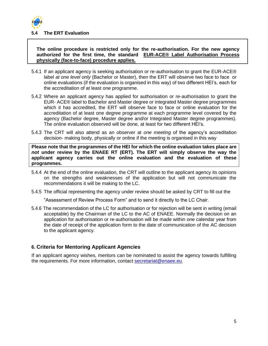

#### **5.4 The ERT Evaluation**

#### **The online procedure is restricted only for the re-authorisation. For the new agency authorized for the first time, the standard [EUR-ACE® Label Authorisation Process](https://www.enaee.eu/eur-ace-system/awarding-eur-ace-label/)  [physically \(face-to-face\)](https://www.enaee.eu/eur-ace-system/awarding-eur-ace-label/) procedure applies.**

- 5.4.1 If an applicant agency is seeking authorisation or re-authorisation to grant the EUR-ACE® label *at one level only* (Bachelor or Master), then the ERT will observe two face to face or online evaluations (if the evaluation is organised in this way) of two different HEI's, each for the accreditation of at least one programme.
- 5.4.2 Where an applicant agency has applied for authorisation or re-authorisation to grant the EUR- ACE® label to Bachelor and Master degree or integrated Master degree programmes which it has accredited, the ERT will observe face to face or online evaluation for the accreditation of at least one degree programme at each programme level covered by the agency (Bachelor degree, Master degree and/or Integrated Master degree programmes). The online evaluation observed will be done, at least for two different HEI's.
- 5.4.3 The CRT will also attend as an observer at *one meeting* of the agency's accreditation decision- making body, physically or online if the meeting is organised in this way

**Please note that the programmes of the HEI for which the online evaluation takes place are**  *not* **under review by the ENAEE RT (ERT). The ERT will simply observe the way the applicant agency carries out the online evaluation and the evaluation of these programmes.**

- 5.4.4 At the end of the online evaluation, the CRT will outline to the applicant agency its opinions on the strengths and weaknesses of the application but will not communicate the recommendations it will be making to the LC.
- 5.4.5 The official representing the agency under review should be asked by CRT to fill out the

"Assessment of Review Process Form" and to send it directly to the LC Chair.

5.4.6 The recommendation of the LC for authorisation or for rejection will be sent in writing (email acceptable) by the Chairman of the LC to the AC of ENAEE. Normally the decision on an application for authorisation or re-authorisation will be made within one calendar year from the date of receipt of the application form to the date of communication of the AC decision to the applicant agency.

## **6. Criteria for Mentoring Applicant Agencies**

If an applicant agency wishes, mentors can be nominated to assist the agency towards fulfilling the requirements. For more information, contact [secretariat@enaee.eu.](mailto:secretariat@enaee.eu)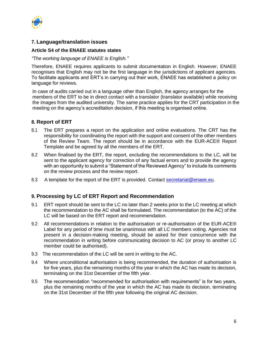

#### **7. Language/translation issues**

#### **Article S4 of the ENAEE statutes states**

#### *"The working language of ENAEE is English."*

Therefore, ENAEE requires applicants to submit documentation in English. However, ENAEE recognises that English may not be the first language in the jurisdictions of applicant agencies. To facilitate applicants and ERT's in carrying out their work, ENAEE has established a [policy on](http://www.enaee.eu/wp-assets-enaee/uploads/2012/01/ENAEE-Language-Requirements-for-Applications-2010-11-0511.pdf) [language for reviews.](http://www.enaee.eu/wp-assets-enaee/uploads/2012/01/ENAEE-Language-Requirements-for-Applications-2010-11-0511.pdf)

In case of audits carried out in a language other than English, the agency arranges for the members of the ERT to be in direct contact with a translator (translator available) while receiving the images from the audited university. The same practice applies for the CRT participation in the meeting on the agency's accreditation decision, if this meeting is organised online.

## **8. Report of ERT**

- 8.1 The ERT prepares a report on the application and online evaluations. The CRT has the responsibility for coordinating the report with the support and consent of the other members of the Review Team. The report should be in accordance with the EUR-ACE® Report Template and be agreed by all the members of the ERT.
- 8.2 When finalised by the ERT, the report, excluding the recommendations to the LC, will be sent to the applicant agency for correction of any factual errors and to provide the agency with an opportunity to submit a "Statement of the Reviewed Agency" to include its comments on the review process and the review report.
- 8.3 A template for the report of the ERT is provided. Contact [secretariat@enaee.eu.](mailto:secretariat@enaee.eu)

## **9. Processing by LC of ERT Report and Recommendation**

- 9.1 ERT report should be sent to the LC no later than 2 weeks prior to the LC meeting at which the recommendation to the AC shall be formulated. The recommendation (to the AC) of the LC will be based on the ERT report and recommendation.
- 9.2 All recommendations in relation to the authorisation or re-authorisation of the EUR-ACE® Label for any period of time must be unanimous with all LC members voting. Agencies not present in a decision-making meeting, should be asked for their concurrence with the recommendation in writing before communicating decision to AC (or proxy to another LC member could be authorised).
- 9.3 The recommendation of the LC will be sent in writing to the AC.
- 9.4 Where unconditional authorisation is being recommended, the duration of authorisation is for five years, plus the remaining months of the year in which the AC has made its decision, terminating on the 31st December of the fifth year.
- 9.5 The recommendation "recommended for authorisation with requirements" is for two years, plus the remaining months of the year in which the AC has made its decision, terminating on the 31st December of the fifth year following the original AC decision.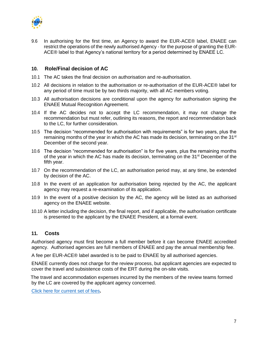

9.6 In authorising for the first time, an Agency to award the EUR-ACE® label, ENAEE can restrict the operations of the newly authorised Agency - for the purpose of granting the EUR-ACE® label to that Agency's national territory for a period determined by ENAEE LC.

#### **10. Role/Final decision of AC**

- 10.1 The AC takes the final decision on authorisation and re-authorisation.
- 10.2 All decisions in relation to the authorisation or re-authorisation of the EUR-ACE® label for any period of time must be by two thirds majority, with all AC members voting.
- 10.3 All authorisation decisions are conditional upon the agency for authorisation signing the ENAEE Mutual Recognition Agreement.
- 10.4 If the AC decides not to accept the LC recommendation, it may not change the recommendation but must refer, outlining its reasons, the report and recommendation back to the LC, for further consideration.
- 10.5 The decision "recommended for authorisation with requirements" is for two years, plus the remaining months of the year in which the AC has made its decision, terminating on the 31<sup>st</sup> December of the second year.
- 10.6 The decision "recommended for authorisation" is for five years, plus the remaining months of the year in which the AC has made its decision, terminating on the 31<sup>st</sup> December of the fifth year.
- 10.7 On the recommendation of the LC, an authorisation period may, at any time, be extended by decision of the AC.
- 10.8 In the event of an application for authorisation being rejected by the AC, the applicant agency may request a re-examination of its application.
- 10.9 In the event of a positive decision by the AC, the agency will be listed as an authorised agency on the ENAEE website.
- 10.10 A letter including the decision, the final report, and if applicable, the authorisation certificate is presented to the applicant by the ENAEE President, at a formal event.

#### **11. Costs**

Authorised agency must first become a full member before it can become ENAEE accredited agency. Authorised agencies are full members of ENAEE and pay the annual membership fee.

A fee per EUR-ACE® label awarded is to be paid to ENAEE by all authorised agencies.

ENAEE currently does not charge for the review process, but applicant agencies are expected to cover the travel and subsistence costs of the ERT during the on-site visits.

The travel and accommodation expenses incurred by the members of the review teams formed by the LC are covered by the applicant agency concerned.

[Click here for current set of fees](https://www.enaee.eu/members/)**.**